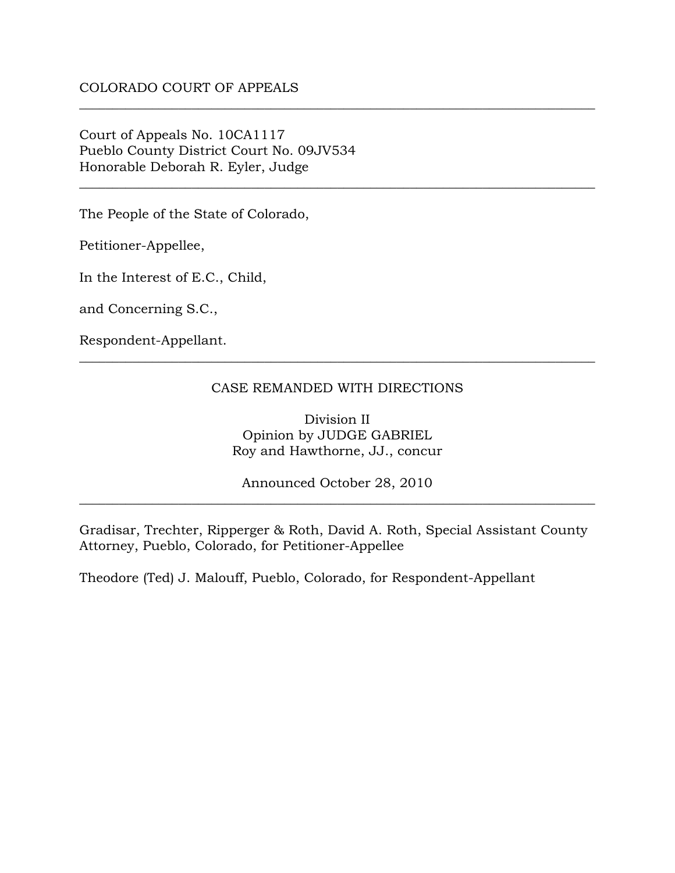Court of Appeals No. 10CA1117 Pueblo County District Court No. 09JV534 Honorable Deborah R. Eyler, Judge

The People of the State of Colorado,

Petitioner-Appellee,

In the Interest of E.C., Child,

and Concerning S.C.,

Respondent-Appellant.

#### CASE REMANDED WITH DIRECTIONS

\_\_\_\_\_\_\_\_\_\_\_\_\_\_\_\_\_\_\_\_\_\_\_\_\_\_\_\_\_\_\_\_\_\_\_\_\_\_\_\_\_\_\_\_\_\_\_\_\_\_\_\_\_\_\_\_\_\_\_\_\_\_\_\_\_\_\_\_\_\_\_\_\_\_\_\_\_\_

\_\_\_\_\_\_\_\_\_\_\_\_\_\_\_\_\_\_\_\_\_\_\_\_\_\_\_\_\_\_\_\_\_\_\_\_\_\_\_\_\_\_\_\_\_\_\_\_\_\_\_\_\_\_\_\_\_\_\_\_\_\_\_\_\_\_\_\_\_\_\_\_\_\_\_\_\_\_

\_\_\_\_\_\_\_\_\_\_\_\_\_\_\_\_\_\_\_\_\_\_\_\_\_\_\_\_\_\_\_\_\_\_\_\_\_\_\_\_\_\_\_\_\_\_\_\_\_\_\_\_\_\_\_\_\_\_\_\_\_\_\_\_\_\_\_\_\_\_\_\_\_\_\_\_\_\_

Division II Opinion by JUDGE GABRIEL Roy and Hawthorne, JJ., concur

Announced October 28, 2010 \_\_\_\_\_\_\_\_\_\_\_\_\_\_\_\_\_\_\_\_\_\_\_\_\_\_\_\_\_\_\_\_\_\_\_\_\_\_\_\_\_\_\_\_\_\_\_\_\_\_\_\_\_\_\_\_\_\_\_\_\_\_\_\_\_\_\_\_\_\_\_\_\_\_\_\_\_\_

Gradisar, Trechter, Ripperger & Roth, David A. Roth, Special Assistant County Attorney, Pueblo, Colorado, for Petitioner-Appellee

Theodore (Ted) J. Malouff, Pueblo, Colorado, for Respondent-Appellant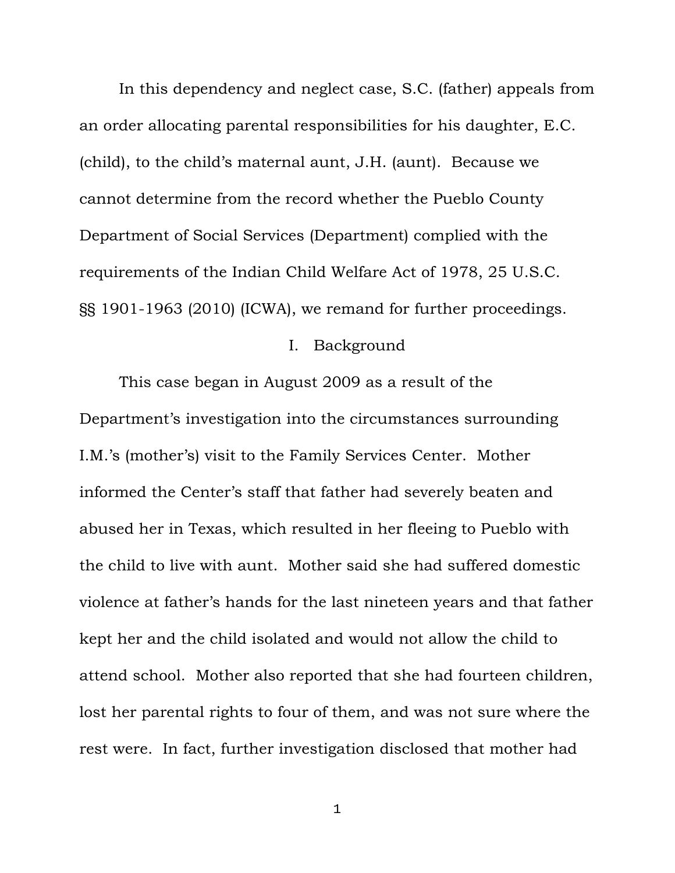In this dependency and neglect case, S.C. (father) appeals from an order allocating parental responsibilities for his daughter, E.C. (child), to the child's maternal aunt, J.H. (aunt). Because we cannot determine from the record whether the Pueblo County Department of Social Services (Department) complied with the requirements of the Indian Child Welfare Act of 1978, 25 U.S.C. §§ 1901-1963 (2010) (ICWA), we remand for further proceedings.

#### I. Background

 This case began in August 2009 as a result of the Department's investigation into the circumstances surrounding I.M.'s (mother's) visit to the Family Services Center. Mother informed the Center's staff that father had severely beaten and abused her in Texas, which resulted in her fleeing to Pueblo with the child to live with aunt. Mother said she had suffered domestic violence at father's hands for the last nineteen years and that father kept her and the child isolated and would not allow the child to attend school. Mother also reported that she had fourteen children, lost her parental rights to four of them, and was not sure where the rest were. In fact, further investigation disclosed that mother had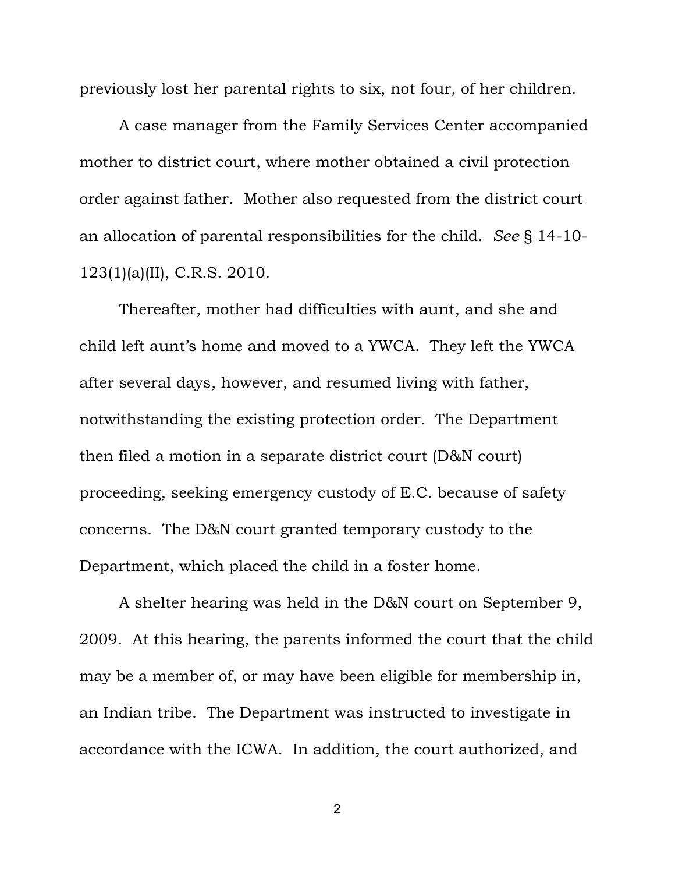previously lost her parental rights to six, not four, of her children.

 A case manager from the Family Services Center accompanied mother to district court, where mother obtained a civil protection order against father. Mother also requested from the district court an allocation of parental responsibilities for the child. *See* § 14-10- 123(1)(a)(II), C.R.S. 2010.

 Thereafter, mother had difficulties with aunt, and she and child left aunt's home and moved to a YWCA. They left the YWCA after several days, however, and resumed living with father, notwithstanding the existing protection order. The Department then filed a motion in a separate district court (D&N court) proceeding, seeking emergency custody of E.C. because of safety concerns. The D&N court granted temporary custody to the Department, which placed the child in a foster home.

 A shelter hearing was held in the D&N court on September 9, 2009. At this hearing, the parents informed the court that the child may be a member of, or may have been eligible for membership in, an Indian tribe. The Department was instructed to investigate in accordance with the ICWA. In addition, the court authorized, and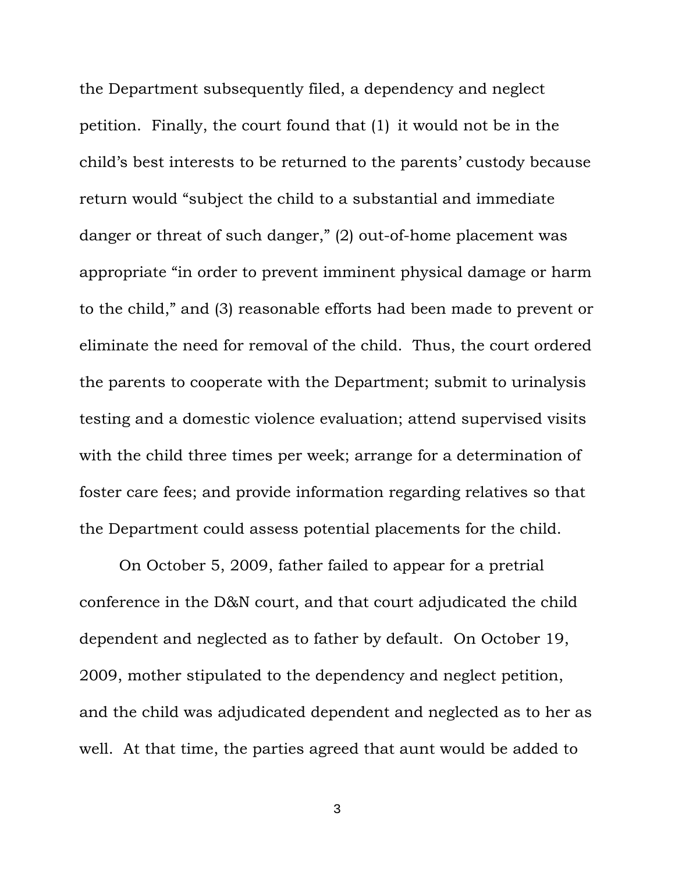the Department subsequently filed, a dependency and neglect petition. Finally, the court found that (1) it would not be in the child's best interests to be returned to the parents' custody because return would "subject the child to a substantial and immediate danger or threat of such danger," (2) out-of-home placement was appropriate "in order to prevent imminent physical damage or harm to the child," and (3) reasonable efforts had been made to prevent or eliminate the need for removal of the child. Thus, the court ordered the parents to cooperate with the Department; submit to urinalysis testing and a domestic violence evaluation; attend supervised visits with the child three times per week; arrange for a determination of foster care fees; and provide information regarding relatives so that the Department could assess potential placements for the child.

 On October 5, 2009, father failed to appear for a pretrial conference in the D&N court, and that court adjudicated the child dependent and neglected as to father by default. On October 19, 2009, mother stipulated to the dependency and neglect petition, and the child was adjudicated dependent and neglected as to her as well. At that time, the parties agreed that aunt would be added to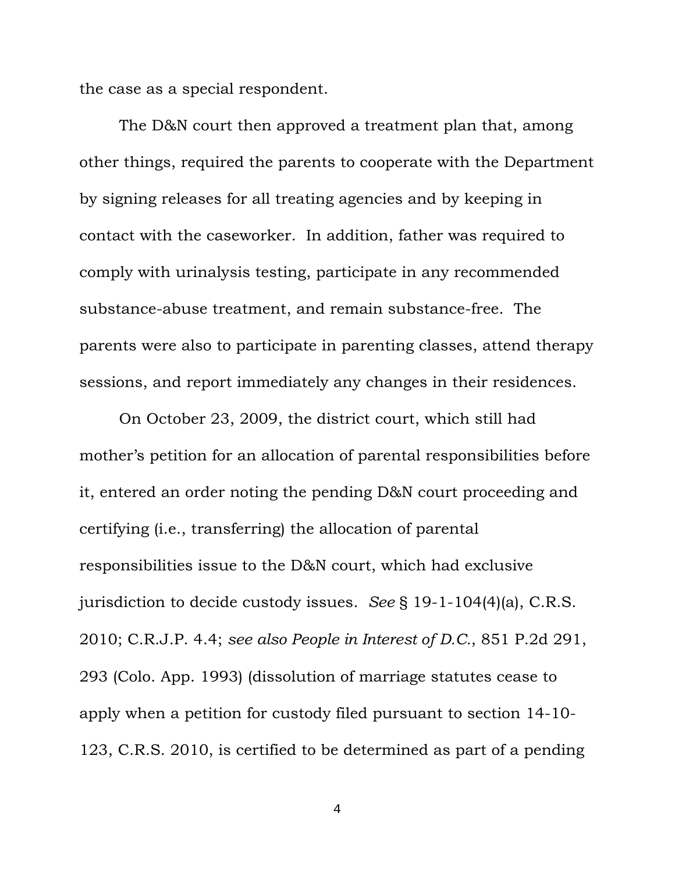the case as a special respondent.

The D&N court then approved a treatment plan that, among other things, required the parents to cooperate with the Department by signing releases for all treating agencies and by keeping in contact with the caseworker. In addition, father was required to comply with urinalysis testing, participate in any recommended substance-abuse treatment, and remain substance-free. The parents were also to participate in parenting classes, attend therapy sessions, and report immediately any changes in their residences.

 On October 23, 2009, the district court, which still had mother's petition for an allocation of parental responsibilities before it, entered an order noting the pending D&N court proceeding and certifying (i.e., transferring) the allocation of parental responsibilities issue to the D&N court, which had exclusive jurisdiction to decide custody issues. *See* § 19-1-104(4)(a), C.R.S. 2010; C.R.J.P. 4.4; *see also People in Interest of D.C.*, 851 P.2d 291, 293 (Colo. App. 1993) (dissolution of marriage statutes cease to apply when a petition for custody filed pursuant to section 14-10- 123, C.R.S. 2010, is certified to be determined as part of a pending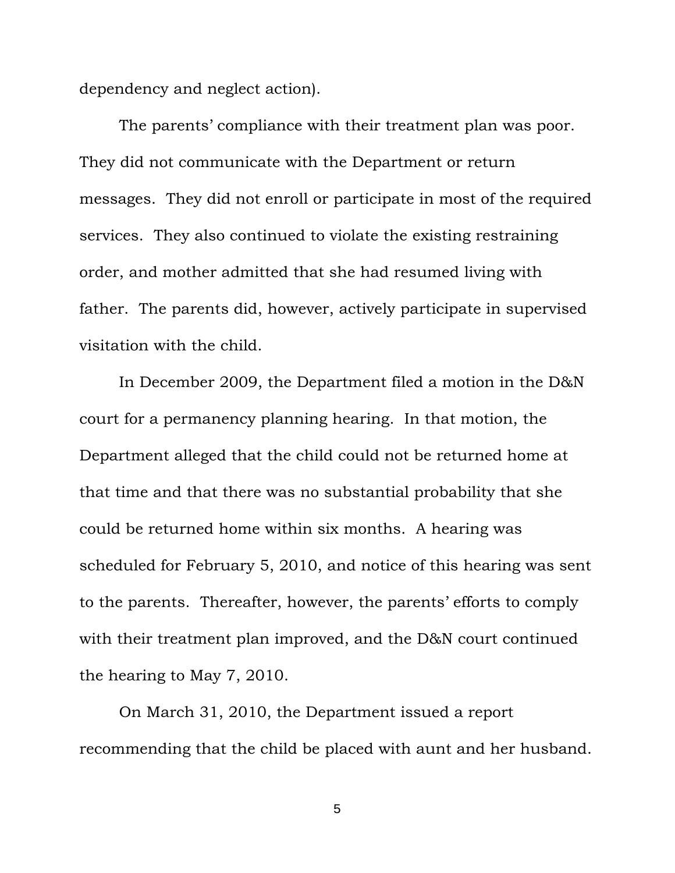dependency and neglect action).

 The parents' compliance with their treatment plan was poor. They did not communicate with the Department or return messages. They did not enroll or participate in most of the required services. They also continued to violate the existing restraining order, and mother admitted that she had resumed living with father. The parents did, however, actively participate in supervised visitation with the child.

 In December 2009, the Department filed a motion in the D&N court for a permanency planning hearing. In that motion, the Department alleged that the child could not be returned home at that time and that there was no substantial probability that she could be returned home within six months. A hearing was scheduled for February 5, 2010, and notice of this hearing was sent to the parents. Thereafter, however, the parents' efforts to comply with their treatment plan improved, and the D&N court continued the hearing to May 7, 2010.

 On March 31, 2010, the Department issued a report recommending that the child be placed with aunt and her husband.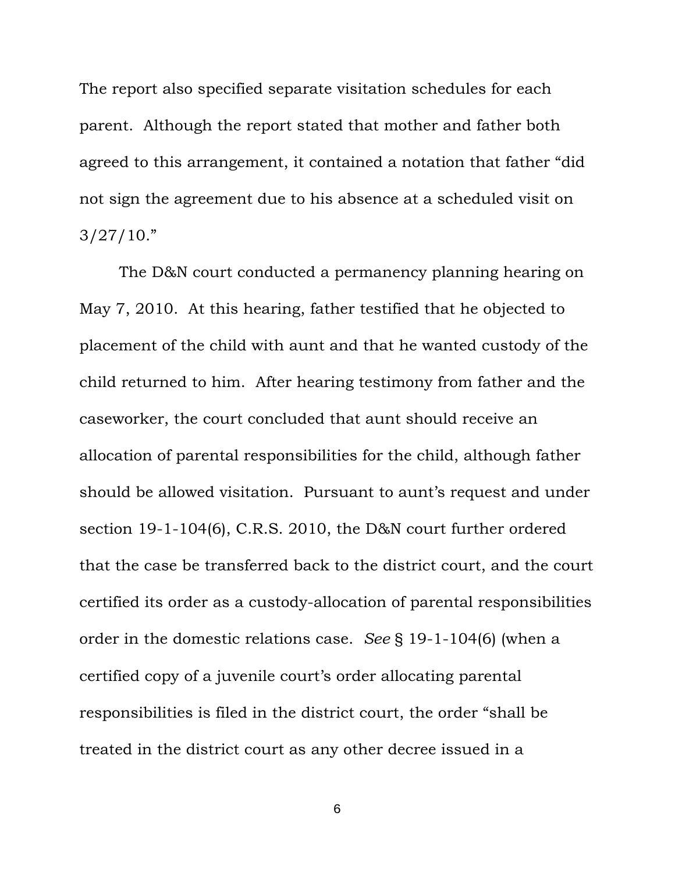The report also specified separate visitation schedules for each parent. Although the report stated that mother and father both agreed to this arrangement, it contained a notation that father "did not sign the agreement due to his absence at a scheduled visit on  $3/27/10."$ 

 The D&N court conducted a permanency planning hearing on May 7, 2010. At this hearing, father testified that he objected to placement of the child with aunt and that he wanted custody of the child returned to him. After hearing testimony from father and the caseworker, the court concluded that aunt should receive an allocation of parental responsibilities for the child, although father should be allowed visitation. Pursuant to aunt's request and under section 19-1-104(6), C.R.S. 2010, the D&N court further ordered that the case be transferred back to the district court, and the court certified its order as a custody-allocation of parental responsibilities order in the domestic relations case. *See* § 19-1-104(6) (when a certified copy of a juvenile court's order allocating parental responsibilities is filed in the district court, the order "shall be treated in the district court as any other decree issued in a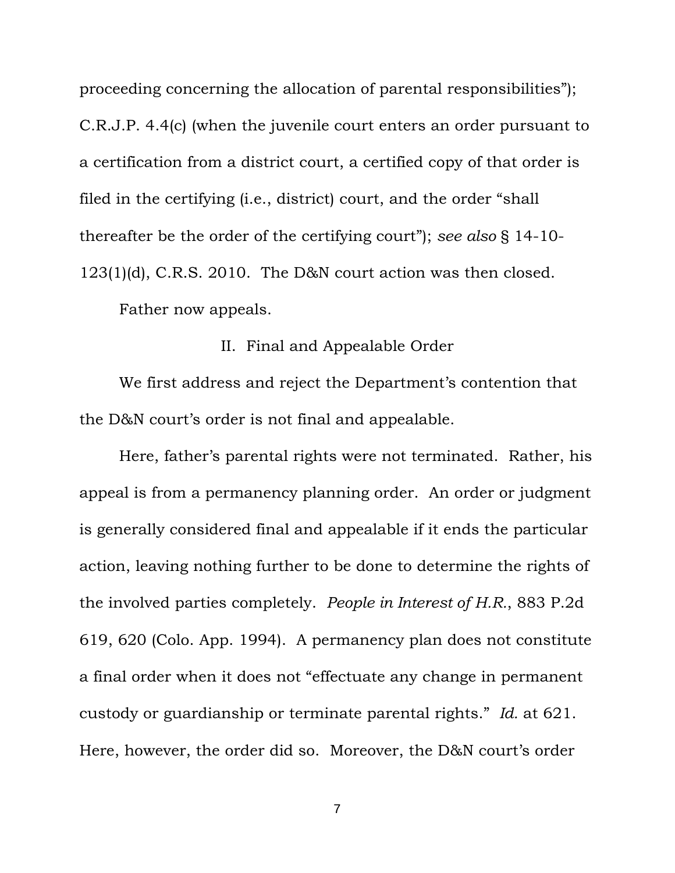proceeding concerning the allocation of parental responsibilities"); C.R.J.P. 4.4(c) (when the juvenile court enters an order pursuant to a certification from a district court, a certified copy of that order is filed in the certifying (i.e., district) court, and the order "shall thereafter be the order of the certifying court"); *see also* § 14-10- 123(1)(d), C.R.S. 2010. The D&N court action was then closed.

Father now appeals.

# II. Final and Appealable Order

 We first address and reject the Department's contention that the D&N court's order is not final and appealable.

 Here, father's parental rights were not terminated. Rather, his appeal is from a permanency planning order. An order or judgment is generally considered final and appealable if it ends the particular action, leaving nothing further to be done to determine the rights of the involved parties completely. *People in Interest of H.R.*, 883 P.2d 619, 620 (Colo. App. 1994). A permanency plan does not constitute a final order when it does not "effectuate any change in permanent custody or guardianship or terminate parental rights." *Id.* at 621. Here, however, the order did so. Moreover, the D&N court's order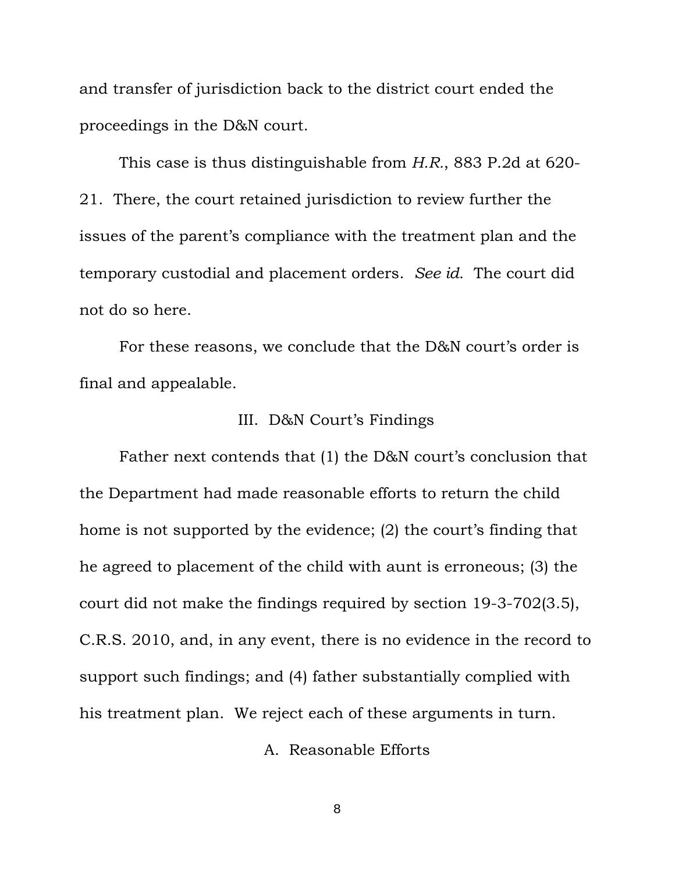and transfer of jurisdiction back to the district court ended the proceedings in the D&N court.

 This case is thus distinguishable from *H.R.*, 883 P.2d at 620- 21. There, the court retained jurisdiction to review further the issues of the parent's compliance with the treatment plan and the temporary custodial and placement orders. *See id.* The court did not do so here.

 For these reasons, we conclude that the D&N court's order is final and appealable.

# III. D&N Court's Findings

 Father next contends that (1) the D&N court's conclusion that the Department had made reasonable efforts to return the child home is not supported by the evidence; (2) the court's finding that he agreed to placement of the child with aunt is erroneous; (3) the court did not make the findings required by section 19-3-702(3.5), C.R.S. 2010, and, in any event, there is no evidence in the record to support such findings; and (4) father substantially complied with his treatment plan. We reject each of these arguments in turn.

A. Reasonable Efforts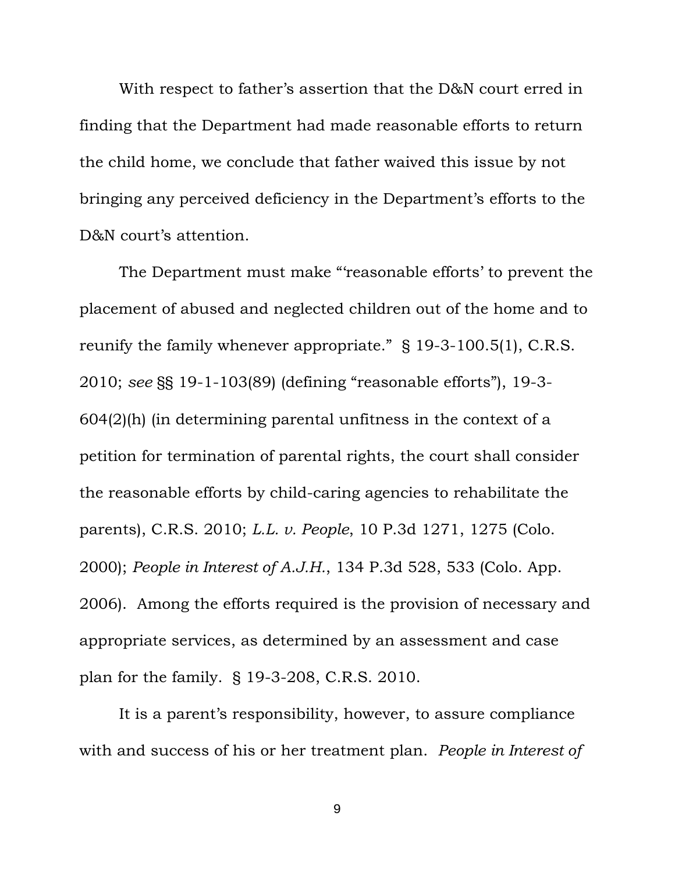With respect to father's assertion that the D&N court erred in finding that the Department had made reasonable efforts to return the child home, we conclude that father waived this issue by not bringing any perceived deficiency in the Department's efforts to the D&N court's attention.

 The Department must make "'reasonable efforts' to prevent the placement of abused and neglected children out of the home and to reunify the family whenever appropriate." § 19-3-100.5(1), C.R.S. 2010; *see* §§ 19-1-103(89) (defining "reasonable efforts"), 19-3- 604(2)(h) (in determining parental unfitness in the context of a petition for termination of parental rights, the court shall consider the reasonable efforts by child-caring agencies to rehabilitate the parents), C.R.S. 2010; *L.L. v. People*, 10 P.3d 1271, 1275 (Colo. 2000); *People in Interest of A.J.H.*, 134 P.3d 528, 533 (Colo. App. 2006). Among the efforts required is the provision of necessary and appropriate services, as determined by an assessment and case plan for the family. § 19-3-208, C.R.S. 2010.

 It is a parent's responsibility, however, to assure compliance with and success of his or her treatment plan. *People in Interest of*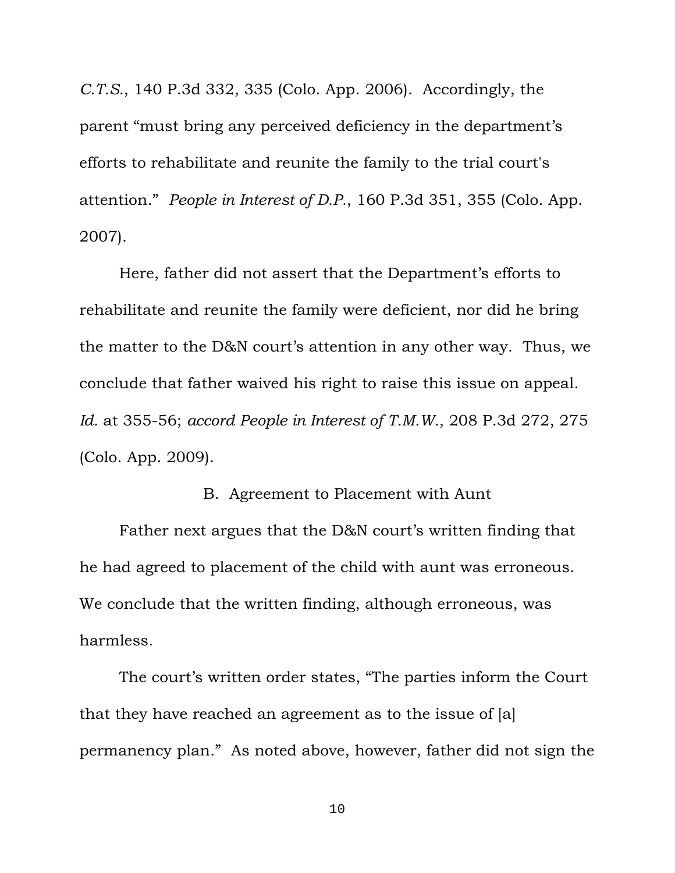*C.T.S.*, 140 P.3d 332, 335 (Colo. App. 2006). Accordingly, the parent "must bring any perceived deficiency in the department's efforts to rehabilitate and reunite the family to the trial court's attention." *People in Interest of D.P.*, 160 P.3d 351, 355 (Colo. App. 2007).

 Here, father did not assert that the Department's efforts to rehabilitate and reunite the family were deficient, nor did he bring the matter to the D&N court's attention in any other way. Thus, we conclude that father waived his right to raise this issue on appeal. *Id.* at 355-56; *accord People in Interest of T.M.W.*, 208 P.3d 272, 275 (Colo. App. 2009).

# B. Agreement to Placement with Aunt

 Father next argues that the D&N court's written finding that he had agreed to placement of the child with aunt was erroneous. We conclude that the written finding, although erroneous, was harmless.

 The court's written order states, "The parties inform the Court that they have reached an agreement as to the issue of [a] permanency plan." As noted above, however, father did not sign the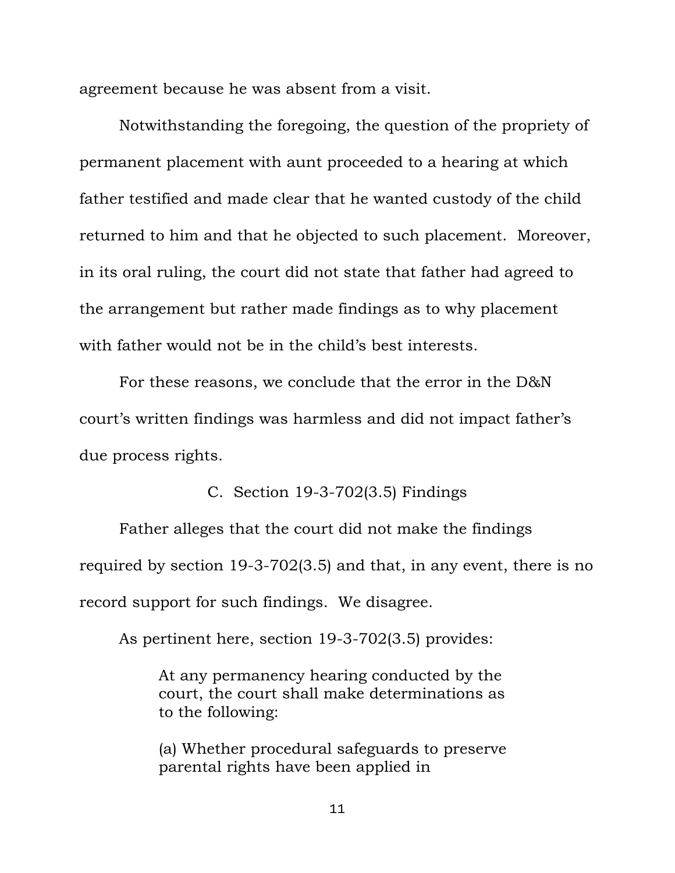agreement because he was absent from a visit.

 Notwithstanding the foregoing, the question of the propriety of permanent placement with aunt proceeded to a hearing at which father testified and made clear that he wanted custody of the child returned to him and that he objected to such placement. Moreover, in its oral ruling, the court did not state that father had agreed to the arrangement but rather made findings as to why placement with father would not be in the child's best interests.

 For these reasons, we conclude that the error in the D&N court's written findings was harmless and did not impact father's due process rights.

C. Section 19-3-702(3.5) Findings

 Father alleges that the court did not make the findings required by section 19-3-702(3.5) and that, in any event, there is no record support for such findings. We disagree.

As pertinent here, section 19-3-702(3.5) provides:

At any permanency hearing conducted by the court, the court shall make determinations as to the following:

(a) Whether procedural safeguards to preserve parental rights have been applied in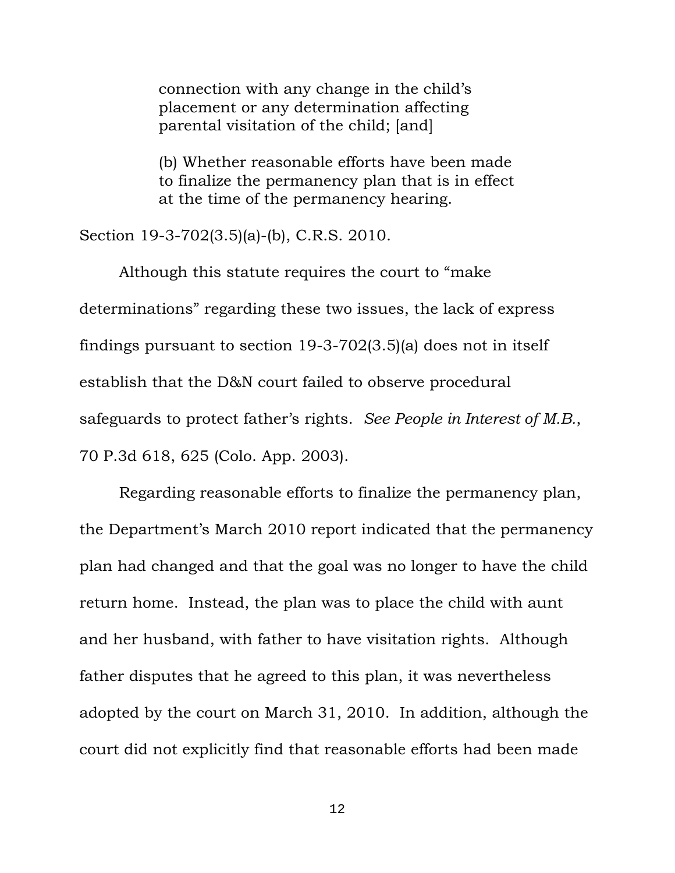connection with any change in the child's placement or any determination affecting parental visitation of the child; [and]

(b) Whether reasonable efforts have been made to finalize the permanency plan that is in effect at the time of the permanency hearing.

Section 19-3-702(3.5)(a)-(b), C.R.S. 2010.

 Although this statute requires the court to "make determinations" regarding these two issues, the lack of express findings pursuant to section 19-3-702(3.5)(a) does not in itself establish that the D&N court failed to observe procedural safeguards to protect father's rights. *See People in Interest of M.B.*, 70 P.3d 618, 625 (Colo. App. 2003).

 Regarding reasonable efforts to finalize the permanency plan, the Department's March 2010 report indicated that the permanency plan had changed and that the goal was no longer to have the child return home. Instead, the plan was to place the child with aunt and her husband, with father to have visitation rights. Although father disputes that he agreed to this plan, it was nevertheless adopted by the court on March 31, 2010. In addition, although the court did not explicitly find that reasonable efforts had been made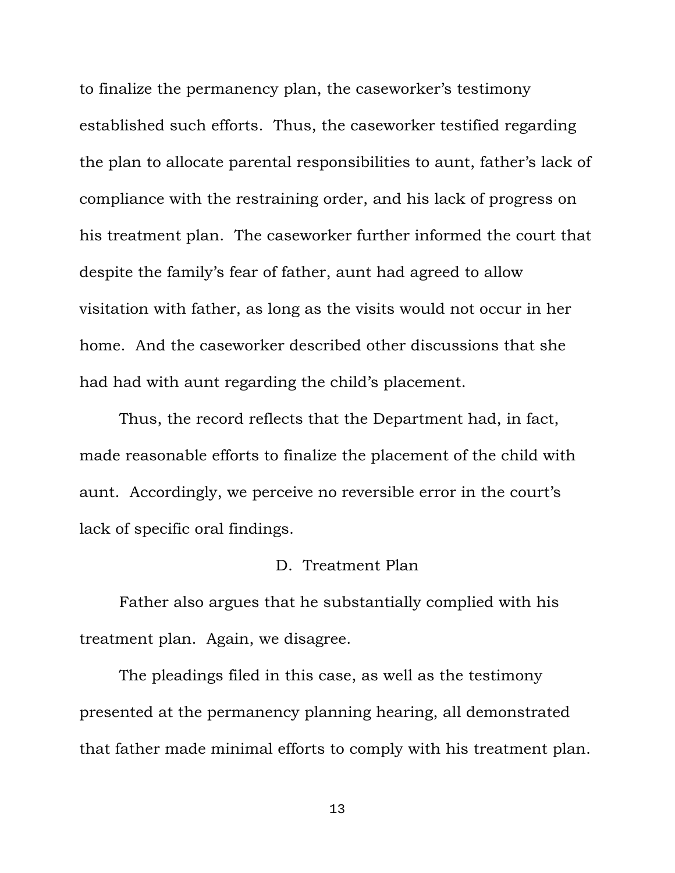to finalize the permanency plan, the caseworker's testimony established such efforts. Thus, the caseworker testified regarding the plan to allocate parental responsibilities to aunt, father's lack of compliance with the restraining order, and his lack of progress on his treatment plan. The caseworker further informed the court that despite the family's fear of father, aunt had agreed to allow visitation with father, as long as the visits would not occur in her home. And the caseworker described other discussions that she had had with aunt regarding the child's placement.

 Thus, the record reflects that the Department had, in fact, made reasonable efforts to finalize the placement of the child with aunt. Accordingly, we perceive no reversible error in the court's lack of specific oral findings.

#### D. Treatment Plan

 Father also argues that he substantially complied with his treatment plan. Again, we disagree.

 The pleadings filed in this case, as well as the testimony presented at the permanency planning hearing, all demonstrated that father made minimal efforts to comply with his treatment plan.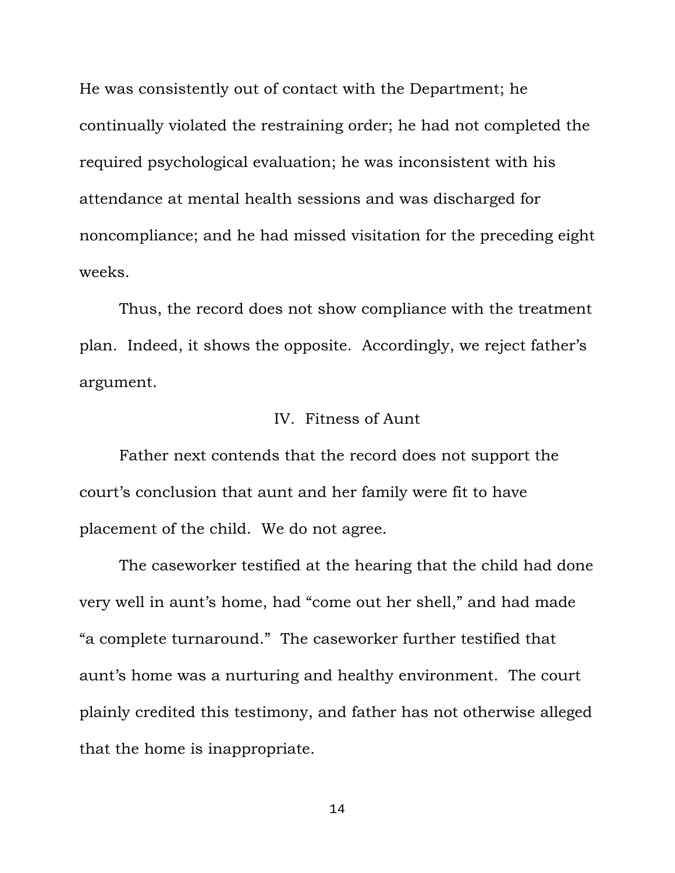He was consistently out of contact with the Department; he continually violated the restraining order; he had not completed the required psychological evaluation; he was inconsistent with his attendance at mental health sessions and was discharged for noncompliance; and he had missed visitation for the preceding eight weeks.

 Thus, the record does not show compliance with the treatment plan. Indeed, it shows the opposite. Accordingly, we reject father's argument.

# IV. Fitness of Aunt

 Father next contends that the record does not support the court's conclusion that aunt and her family were fit to have placement of the child. We do not agree.

 The caseworker testified at the hearing that the child had done very well in aunt's home, had "come out her shell," and had made "a complete turnaround." The caseworker further testified that aunt's home was a nurturing and healthy environment. The court plainly credited this testimony, and father has not otherwise alleged that the home is inappropriate.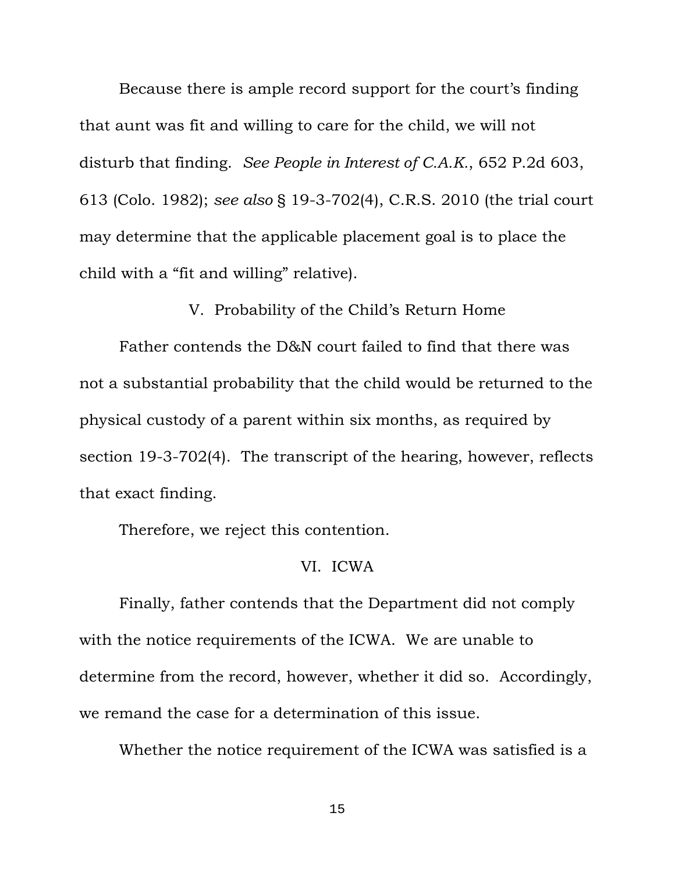Because there is ample record support for the court's finding that aunt was fit and willing to care for the child, we will not disturb that finding. *See People in Interest of C.A.K.*, 652 P.2d 603, 613 (Colo. 1982); *see also* § 19-3-702(4), C.R.S. 2010 (the trial court may determine that the applicable placement goal is to place the child with a "fit and willing" relative).

V. Probability of the Child's Return Home

 Father contends the D&N court failed to find that there was not a substantial probability that the child would be returned to the physical custody of a parent within six months, as required by section 19-3-702(4). The transcript of the hearing, however, reflects that exact finding.

Therefore, we reject this contention.

#### VI. ICWA

 Finally, father contends that the Department did not comply with the notice requirements of the ICWA. We are unable to determine from the record, however, whether it did so. Accordingly, we remand the case for a determination of this issue.

Whether the notice requirement of the ICWA was satisfied is a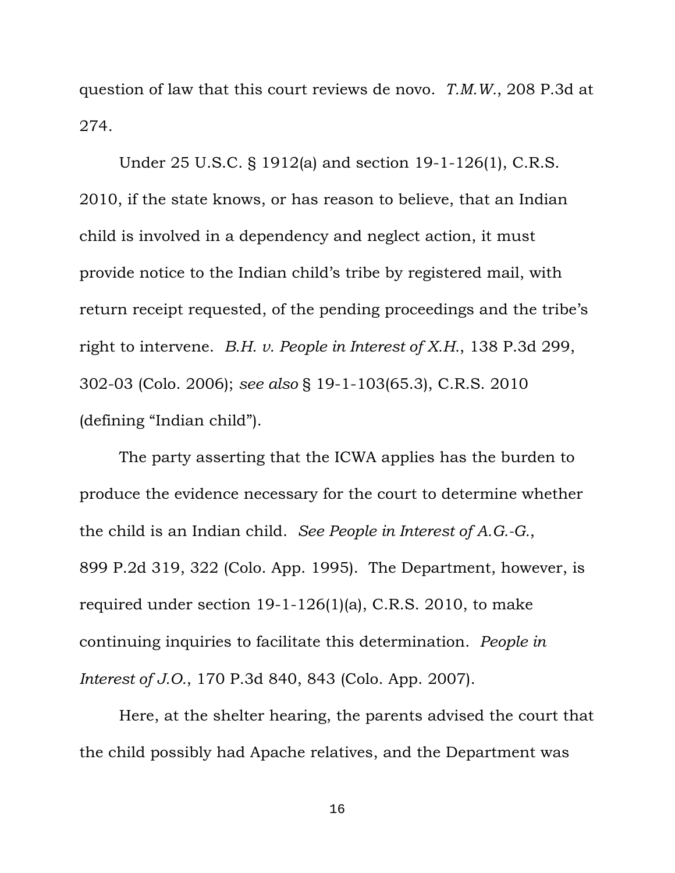question of law that this court reviews de novo. *T.M.W.*, 208 P.3d at 274.

 Under 25 U.S.C. § 1912(a) and section 19-1-126(1), C.R.S. 2010, if the state knows, or has reason to believe, that an Indian child is involved in a dependency and neglect action, it must provide notice to the Indian child's tribe by registered mail, with return receipt requested, of the pending proceedings and the tribe's right to intervene. *B.H. v. People in Interest of X.H.*, 138 P.3d 299, 302-03 (Colo. 2006); *see also* § 19-1-103(65.3), C.R.S. 2010 (defining "Indian child").

 The party asserting that the ICWA applies has the burden to produce the evidence necessary for the court to determine whether the child is an Indian child. *See People in Interest of A.G.-G.*, 899 P.2d 319, 322 (Colo. App. 1995). The Department, however, is required under section 19-1-126(1)(a), C.R.S. 2010, to make continuing inquiries to facilitate this determination. *People in Interest of J.O.*, 170 P.3d 840, 843 (Colo. App. 2007).

 Here, at the shelter hearing, the parents advised the court that the child possibly had Apache relatives, and the Department was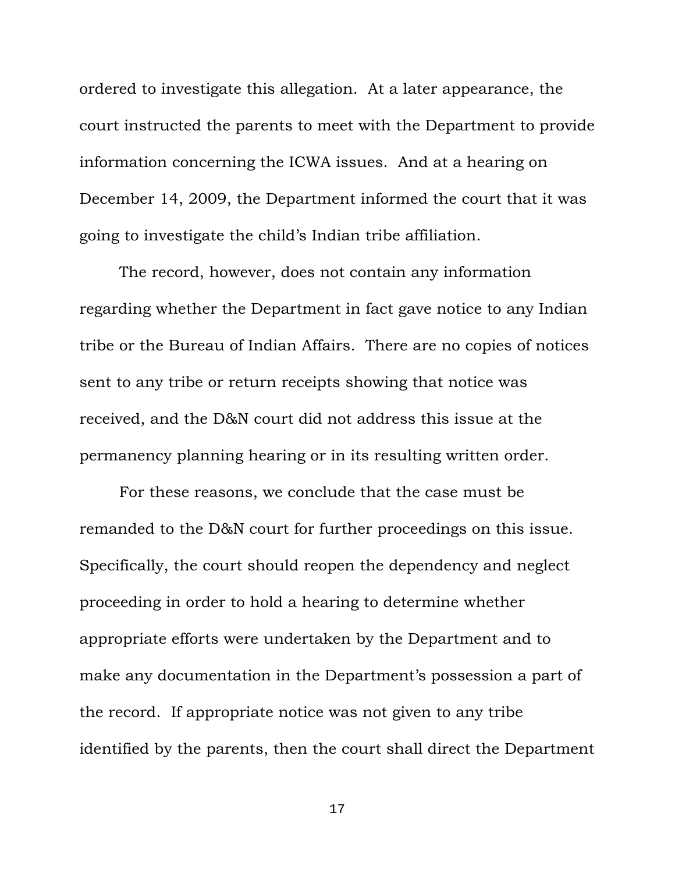ordered to investigate this allegation. At a later appearance, the court instructed the parents to meet with the Department to provide information concerning the ICWA issues. And at a hearing on December 14, 2009, the Department informed the court that it was going to investigate the child's Indian tribe affiliation.

 The record, however, does not contain any information regarding whether the Department in fact gave notice to any Indian tribe or the Bureau of Indian Affairs. There are no copies of notices sent to any tribe or return receipts showing that notice was received, and the D&N court did not address this issue at the permanency planning hearing or in its resulting written order.

 For these reasons, we conclude that the case must be remanded to the D&N court for further proceedings on this issue. Specifically, the court should reopen the dependency and neglect proceeding in order to hold a hearing to determine whether appropriate efforts were undertaken by the Department and to make any documentation in the Department's possession a part of the record. If appropriate notice was not given to any tribe identified by the parents, then the court shall direct the Department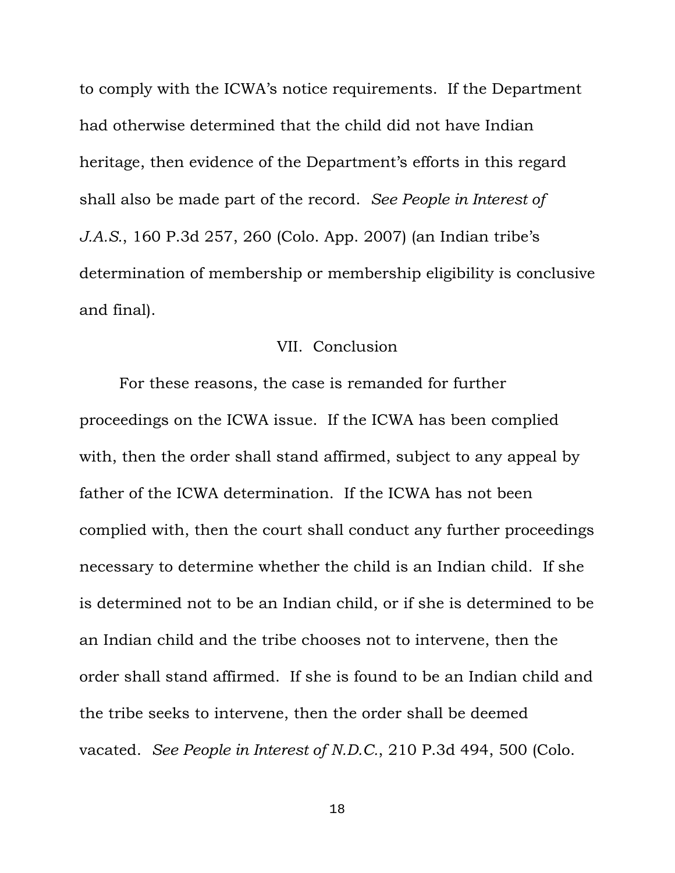to comply with the ICWA's notice requirements. If the Department had otherwise determined that the child did not have Indian heritage, then evidence of the Department's efforts in this regard shall also be made part of the record. *See People in Interest of J.A.S.*, 160 P.3d 257, 260 (Colo. App. 2007) (an Indian tribe's determination of membership or membership eligibility is conclusive and final).

#### VII. Conclusion

 For these reasons, the case is remanded for further proceedings on the ICWA issue. If the ICWA has been complied with, then the order shall stand affirmed, subject to any appeal by father of the ICWA determination. If the ICWA has not been complied with, then the court shall conduct any further proceedings necessary to determine whether the child is an Indian child. If she is determined not to be an Indian child, or if she is determined to be an Indian child and the tribe chooses not to intervene, then the order shall stand affirmed. If she is found to be an Indian child and the tribe seeks to intervene, then the order shall be deemed vacated. *See People in Interest of N.D.C.*, 210 P.3d 494, 500 (Colo.